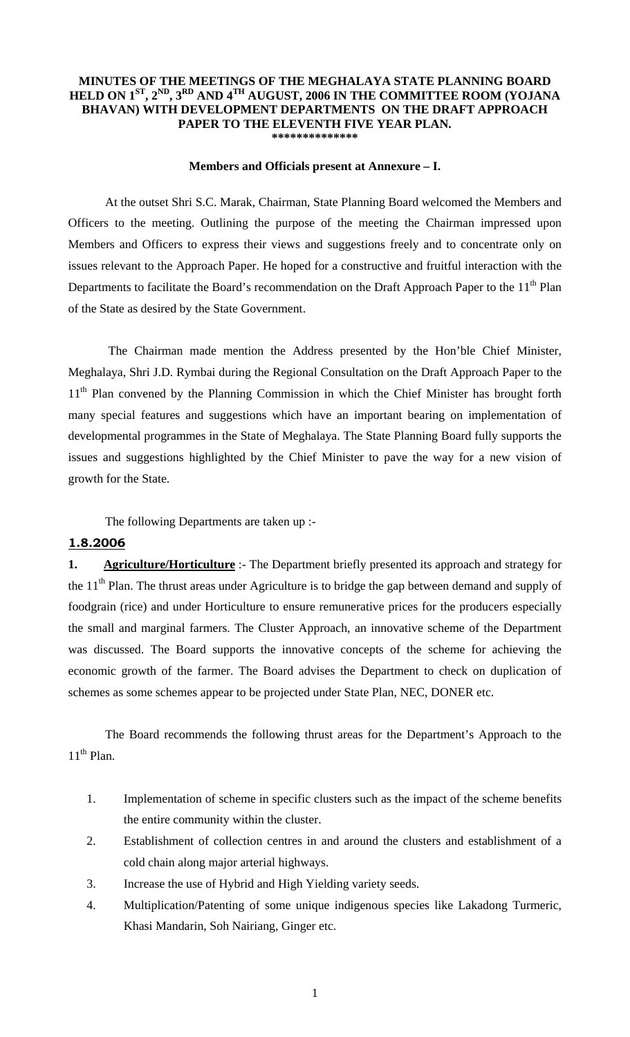### **MINUTES OF THE MEETINGS OF THE MEGHALAYA STATE PLANNING BOARD HELD ON 1ST, 2ND, 3RD AND 4TH AUGUST, 2006 IN THE COMMITTEE ROOM (YOJANA BHAVAN) WITH DEVELOPMENT DEPARTMENTS ON THE DRAFT APPROACH PAPER TO THE ELEVENTH FIVE YEAR PLAN. \*\*\*\*\*\*\*\*\*\*\*\*\*\***

#### **Members and Officials present at Annexure – I.**

 At the outset Shri S.C. Marak, Chairman, State Planning Board welcomed the Members and Officers to the meeting. Outlining the purpose of the meeting the Chairman impressed upon Members and Officers to express their views and suggestions freely and to concentrate only on issues relevant to the Approach Paper. He hoped for a constructive and fruitful interaction with the Departments to facilitate the Board's recommendation on the Draft Approach Paper to the 11<sup>th</sup> Plan of the State as desired by the State Government.

 The Chairman made mention the Address presented by the Hon'ble Chief Minister, Meghalaya, Shri J.D. Rymbai during the Regional Consultation on the Draft Approach Paper to the 11<sup>th</sup> Plan convened by the Planning Commission in which the Chief Minister has brought forth many special features and suggestions which have an important bearing on implementation of developmental programmes in the State of Meghalaya. The State Planning Board fully supports the issues and suggestions highlighted by the Chief Minister to pave the way for a new vision of growth for the State.

The following Departments are taken up :-

### **1.8.2006**

**1. Agriculture/Horticulture** :- The Department briefly presented its approach and strategy for the 11<sup>th</sup> Plan. The thrust areas under Agriculture is to bridge the gap between demand and supply of foodgrain (rice) and under Horticulture to ensure remunerative prices for the producers especially the small and marginal farmers. The Cluster Approach, an innovative scheme of the Department was discussed. The Board supports the innovative concepts of the scheme for achieving the economic growth of the farmer. The Board advises the Department to check on duplication of schemes as some schemes appear to be projected under State Plan, NEC, DONER etc.

 The Board recommends the following thrust areas for the Department's Approach to the  $11^{th}$  Plan.

- 1. Implementation of scheme in specific clusters such as the impact of the scheme benefits the entire community within the cluster.
- 2. Establishment of collection centres in and around the clusters and establishment of a cold chain along major arterial highways.
- 3. Increase the use of Hybrid and High Yielding variety seeds.
- 4. Multiplication/Patenting of some unique indigenous species like Lakadong Turmeric, Khasi Mandarin, Soh Nairiang, Ginger etc.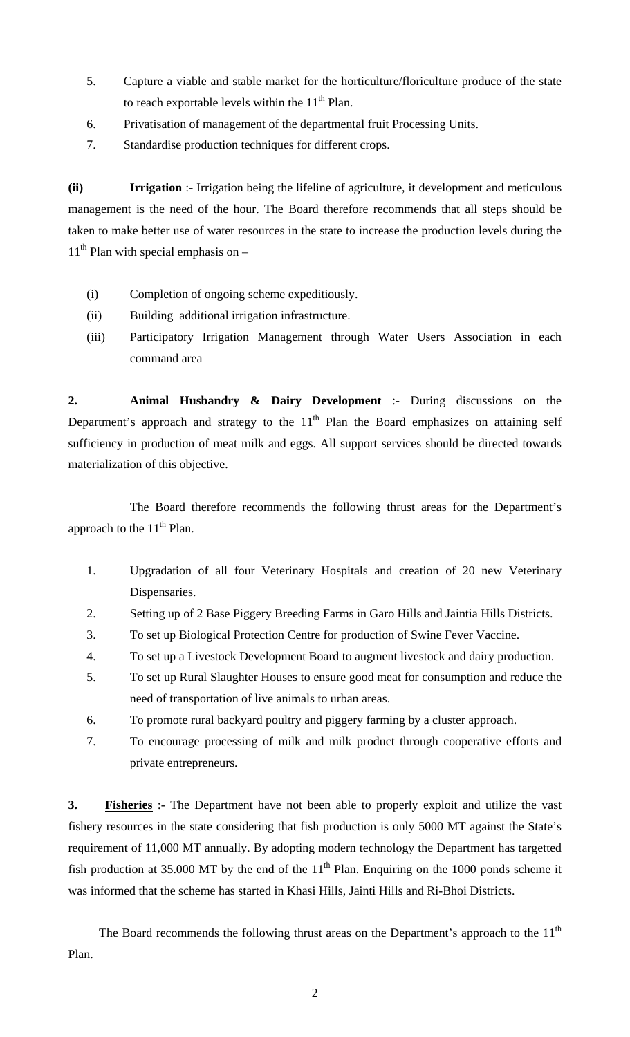- 5. Capture a viable and stable market for the horticulture/floriculture produce of the state to reach exportable levels within the  $11<sup>th</sup>$  Plan.
- 6. Privatisation of management of the departmental fruit Processing Units.
- 7. Standardise production techniques for different crops.

**(ii) Irrigation** :- Irrigation being the lifeline of agriculture, it development and meticulous management is the need of the hour. The Board therefore recommends that all steps should be taken to make better use of water resources in the state to increase the production levels during the  $11<sup>th</sup>$  Plan with special emphasis on –

- (i) Completion of ongoing scheme expeditiously.
- (ii) Building additional irrigation infrastructure.
- (iii) Participatory Irrigation Management through Water Users Association in each command area

**2. Animal Husbandry & Dairy Development** :- During discussions on the Department's approach and strategy to the  $11<sup>th</sup>$  Plan the Board emphasizes on attaining self sufficiency in production of meat milk and eggs. All support services should be directed towards materialization of this objective.

 The Board therefore recommends the following thrust areas for the Department's approach to the  $11<sup>th</sup>$  Plan.

- 1. Upgradation of all four Veterinary Hospitals and creation of 20 new Veterinary Dispensaries.
- 2. Setting up of 2 Base Piggery Breeding Farms in Garo Hills and Jaintia Hills Districts.
- 3. To set up Biological Protection Centre for production of Swine Fever Vaccine.
- 4. To set up a Livestock Development Board to augment livestock and dairy production.
- 5. To set up Rural Slaughter Houses to ensure good meat for consumption and reduce the need of transportation of live animals to urban areas.
- 6. To promote rural backyard poultry and piggery farming by a cluster approach.
- 7. To encourage processing of milk and milk product through cooperative efforts and private entrepreneurs.

**3. Fisheries** :- The Department have not been able to properly exploit and utilize the vast fishery resources in the state considering that fish production is only 5000 MT against the State's requirement of 11,000 MT annually. By adopting modern technology the Department has targetted fish production at 35.000 MT by the end of the  $11<sup>th</sup>$  Plan. Enquiring on the 1000 ponds scheme it was informed that the scheme has started in Khasi Hills, Jainti Hills and Ri-Bhoi Districts.

The Board recommends the following thrust areas on the Department's approach to the  $11<sup>th</sup>$ Plan.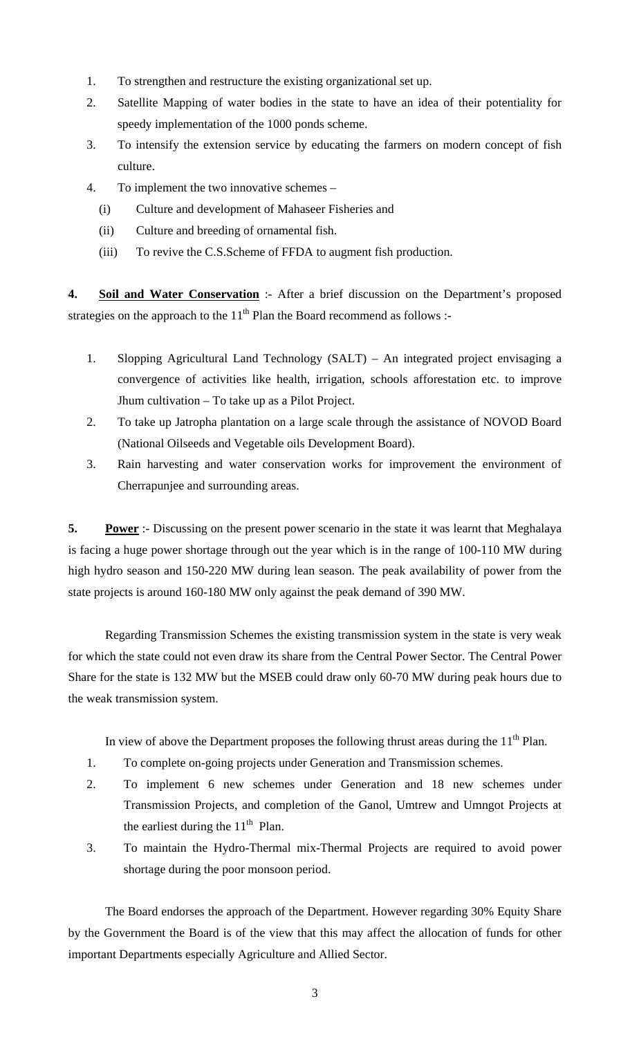- 1. To strengthen and restructure the existing organizational set up.
- 2. Satellite Mapping of water bodies in the state to have an idea of their potentiality for speedy implementation of the 1000 ponds scheme.
- 3. To intensify the extension service by educating the farmers on modern concept of fish culture.
- 4. To implement the two innovative schemes
	- (i) Culture and development of Mahaseer Fisheries and
	- (ii) Culture and breeding of ornamental fish.
	- (iii) To revive the C.S.Scheme of FFDA to augment fish production.

**4. Soil and Water Conservation** :- After a brief discussion on the Department's proposed strategies on the approach to the  $11<sup>th</sup>$  Plan the Board recommend as follows :-

- 1. Slopping Agricultural Land Technology (SALT) An integrated project envisaging a convergence of activities like health, irrigation, schools afforestation etc. to improve Jhum cultivation – To take up as a Pilot Project.
- 2. To take up Jatropha plantation on a large scale through the assistance of NOVOD Board (National Oilseeds and Vegetable oils Development Board).
- 3. Rain harvesting and water conservation works for improvement the environment of Cherrapunjee and surrounding areas.

**5. Power** :- Discussing on the present power scenario in the state it was learnt that Meghalaya is facing a huge power shortage through out the year which is in the range of 100-110 MW during high hydro season and 150-220 MW during lean season. The peak availability of power from the state projects is around 160-180 MW only against the peak demand of 390 MW.

 Regarding Transmission Schemes the existing transmission system in the state is very weak for which the state could not even draw its share from the Central Power Sector. The Central Power Share for the state is 132 MW but the MSEB could draw only 60-70 MW during peak hours due to the weak transmission system.

In view of above the Department proposes the following thrust areas during the  $11<sup>th</sup>$  Plan.

- 1. To complete on-going projects under Generation and Transmission schemes.
- 2. To implement 6 new schemes under Generation and 18 new schemes under Transmission Projects, and completion of the Ganol, Umtrew and Umngot Projects at the earliest during the  $11<sup>th</sup>$  Plan.
- 3. To maintain the Hydro-Thermal mix-Thermal Projects are required to avoid power shortage during the poor monsoon period.

The Board endorses the approach of the Department. However regarding 30% Equity Share by the Government the Board is of the view that this may affect the allocation of funds for other important Departments especially Agriculture and Allied Sector.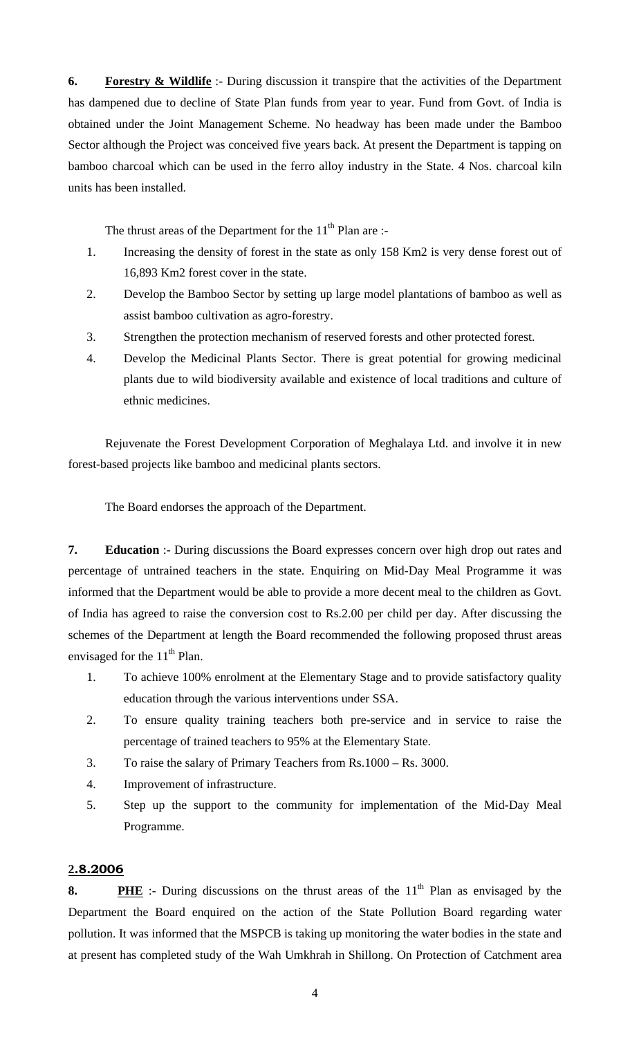**6. Forestry & Wildlife** :- During discussion it transpire that the activities of the Department has dampened due to decline of State Plan funds from year to year. Fund from Govt. of India is obtained under the Joint Management Scheme. No headway has been made under the Bamboo Sector although the Project was conceived five years back. At present the Department is tapping on bamboo charcoal which can be used in the ferro alloy industry in the State. 4 Nos. charcoal kiln units has been installed.

The thrust areas of the Department for the  $11<sup>th</sup>$  Plan are :-

- 1. Increasing the density of forest in the state as only 158 Km2 is very dense forest out of 16,893 Km2 forest cover in the state.
- 2. Develop the Bamboo Sector by setting up large model plantations of bamboo as well as assist bamboo cultivation as agro-forestry.
- 3. Strengthen the protection mechanism of reserved forests and other protected forest.
- 4. Develop the Medicinal Plants Sector. There is great potential for growing medicinal plants due to wild biodiversity available and existence of local traditions and culture of ethnic medicines.

Rejuvenate the Forest Development Corporation of Meghalaya Ltd. and involve it in new forest-based projects like bamboo and medicinal plants sectors.

The Board endorses the approach of the Department.

**7. Education** :- During discussions the Board expresses concern over high drop out rates and percentage of untrained teachers in the state. Enquiring on Mid-Day Meal Programme it was informed that the Department would be able to provide a more decent meal to the children as Govt. of India has agreed to raise the conversion cost to Rs.2.00 per child per day. After discussing the schemes of the Department at length the Board recommended the following proposed thrust areas envisaged for the  $11<sup>th</sup>$  Plan.

- 1. To achieve 100% enrolment at the Elementary Stage and to provide satisfactory quality education through the various interventions under SSA.
- 2. To ensure quality training teachers both pre-service and in service to raise the percentage of trained teachers to 95% at the Elementary State.
- 3. To raise the salary of Primary Teachers from Rs.1000 Rs. 3000.
- 4. Improvement of infrastructure.
- 5. Step up the support to the community for implementation of the Mid-Day Meal Programme.

## **2.8.2006**

**8. PHE** :- During discussions on the thrust areas of the 11<sup>th</sup> Plan as envisaged by the Department the Board enquired on the action of the State Pollution Board regarding water pollution. It was informed that the MSPCB is taking up monitoring the water bodies in the state and at present has completed study of the Wah Umkhrah in Shillong. On Protection of Catchment area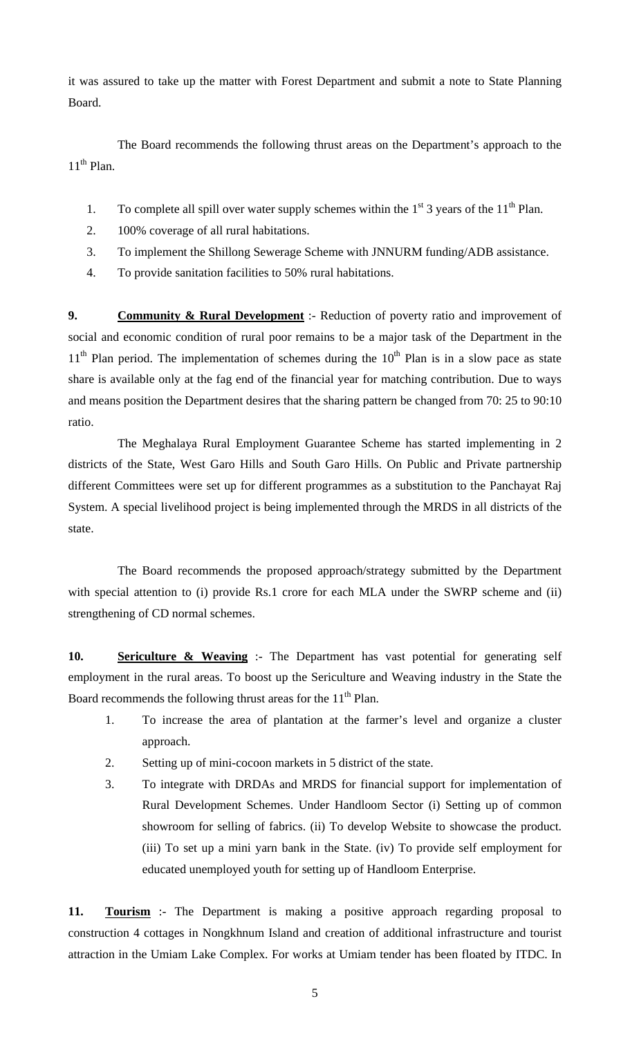it was assured to take up the matter with Forest Department and submit a note to State Planning Board.

 The Board recommends the following thrust areas on the Department's approach to the  $11<sup>th</sup>$  Plan.

- 1. To complete all spill over water supply schemes within the  $1<sup>st</sup>$  3 years of the  $11<sup>th</sup>$  Plan.
- 2. 100% coverage of all rural habitations.
- 3. To implement the Shillong Sewerage Scheme with JNNURM funding/ADB assistance.
- 4. To provide sanitation facilities to 50% rural habitations.

**9. Community & Rural Development** :- Reduction of poverty ratio and improvement of social and economic condition of rural poor remains to be a major task of the Department in the  $11<sup>th</sup>$  Plan period. The implementation of schemes during the  $10<sup>th</sup>$  Plan is in a slow pace as state share is available only at the fag end of the financial year for matching contribution. Due to ways and means position the Department desires that the sharing pattern be changed from 70: 25 to 90:10 ratio.

 The Meghalaya Rural Employment Guarantee Scheme has started implementing in 2 districts of the State, West Garo Hills and South Garo Hills. On Public and Private partnership different Committees were set up for different programmes as a substitution to the Panchayat Raj System. A special livelihood project is being implemented through the MRDS in all districts of the state.

 The Board recommends the proposed approach/strategy submitted by the Department with special attention to (i) provide Rs.1 crore for each MLA under the SWRP scheme and (ii) strengthening of CD normal schemes.

**10. Sericulture & Weaving** :- The Department has vast potential for generating self employment in the rural areas. To boost up the Sericulture and Weaving industry in the State the Board recommends the following thrust areas for the  $11<sup>th</sup>$  Plan.

- 1. To increase the area of plantation at the farmer's level and organize a cluster approach.
- 2. Setting up of mini-cocoon markets in 5 district of the state.
- 3. To integrate with DRDAs and MRDS for financial support for implementation of Rural Development Schemes. Under Handloom Sector (i) Setting up of common showroom for selling of fabrics. (ii) To develop Website to showcase the product. (iii) To set up a mini yarn bank in the State. (iv) To provide self employment for educated unemployed youth for setting up of Handloom Enterprise.

**11. Tourism** :- The Department is making a positive approach regarding proposal to construction 4 cottages in Nongkhnum Island and creation of additional infrastructure and tourist attraction in the Umiam Lake Complex. For works at Umiam tender has been floated by ITDC. In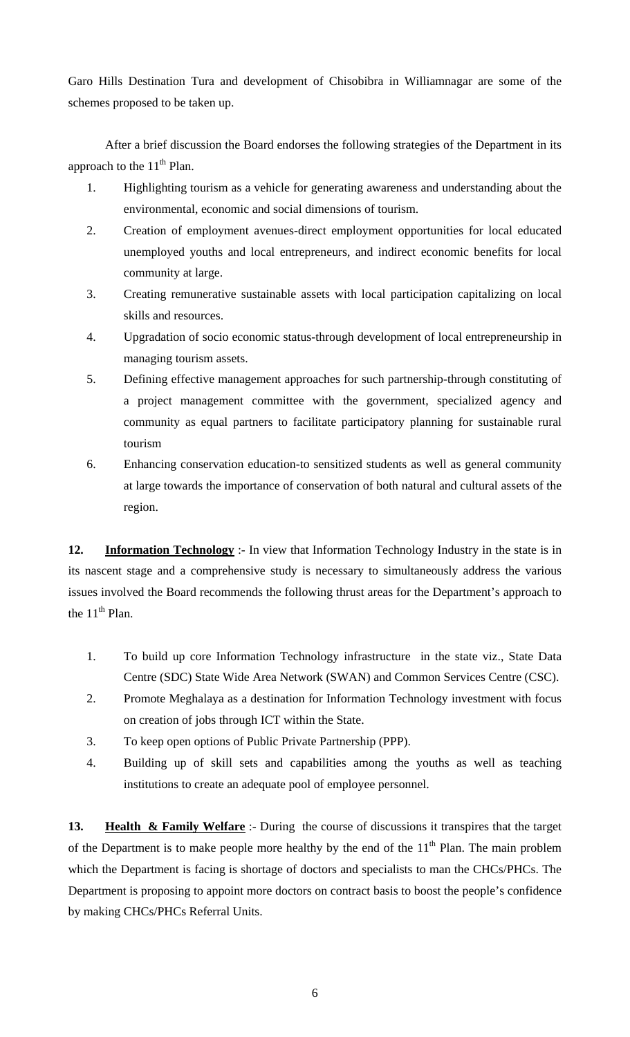Garo Hills Destination Tura and development of Chisobibra in Williamnagar are some of the schemes proposed to be taken up.

 After a brief discussion the Board endorses the following strategies of the Department in its approach to the  $11<sup>th</sup>$  Plan.

- 1. Highlighting tourism as a vehicle for generating awareness and understanding about the environmental, economic and social dimensions of tourism.
- 2. Creation of employment avenues-direct employment opportunities for local educated unemployed youths and local entrepreneurs, and indirect economic benefits for local community at large.
- 3. Creating remunerative sustainable assets with local participation capitalizing on local skills and resources.
- 4. Upgradation of socio economic status-through development of local entrepreneurship in managing tourism assets.
- 5. Defining effective management approaches for such partnership-through constituting of a project management committee with the government, specialized agency and community as equal partners to facilitate participatory planning for sustainable rural tourism
- 6. Enhancing conservation education-to sensitized students as well as general community at large towards the importance of conservation of both natural and cultural assets of the region.

**12. Information Technology** :- In view that Information Technology Industry in the state is in its nascent stage and a comprehensive study is necessary to simultaneously address the various issues involved the Board recommends the following thrust areas for the Department's approach to the  $11<sup>th</sup>$  Plan.

- 1. To build up core Information Technology infrastructure in the state viz., State Data Centre (SDC) State Wide Area Network (SWAN) and Common Services Centre (CSC).
- 2. Promote Meghalaya as a destination for Information Technology investment with focus on creation of jobs through ICT within the State.
- 3. To keep open options of Public Private Partnership (PPP).
- 4. Building up of skill sets and capabilities among the youths as well as teaching institutions to create an adequate pool of employee personnel.

**13. Health & Family Welfare** :- During the course of discussions it transpires that the target of the Department is to make people more healthy by the end of the  $11<sup>th</sup>$  Plan. The main problem which the Department is facing is shortage of doctors and specialists to man the CHCs/PHCs. The Department is proposing to appoint more doctors on contract basis to boost the people's confidence by making CHCs/PHCs Referral Units.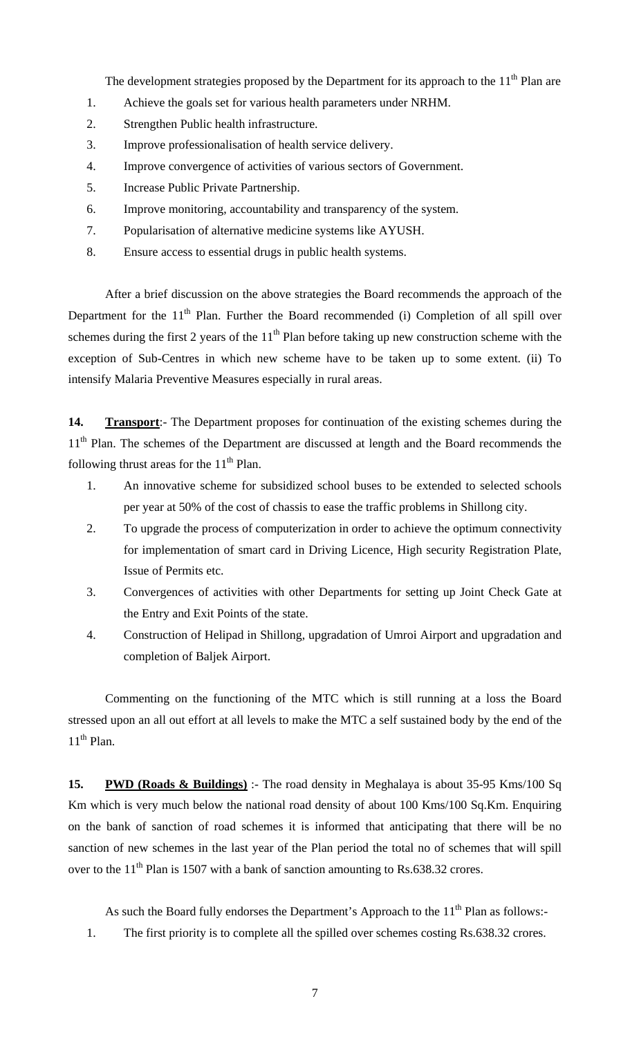The development strategies proposed by the Department for its approach to the  $11<sup>th</sup>$  Plan are

- 1. Achieve the goals set for various health parameters under NRHM.
- 2. Strengthen Public health infrastructure.
- 3. Improve professionalisation of health service delivery.
- 4. Improve convergence of activities of various sectors of Government.
- 5. Increase Public Private Partnership.
- 6. Improve monitoring, accountability and transparency of the system.
- 7. Popularisation of alternative medicine systems like AYUSH.
- 8. Ensure access to essential drugs in public health systems.

 After a brief discussion on the above strategies the Board recommends the approach of the Department for the  $11<sup>th</sup>$  Plan. Further the Board recommended (i) Completion of all spill over schemes during the first 2 years of the  $11<sup>th</sup>$  Plan before taking up new construction scheme with the exception of Sub-Centres in which new scheme have to be taken up to some extent. (ii) To intensify Malaria Preventive Measures especially in rural areas.

**14. Transport**:- The Department proposes for continuation of the existing schemes during the 11<sup>th</sup> Plan. The schemes of the Department are discussed at length and the Board recommends the following thrust areas for the  $11<sup>th</sup>$  Plan.

- 1. An innovative scheme for subsidized school buses to be extended to selected schools per year at 50% of the cost of chassis to ease the traffic problems in Shillong city.
- 2. To upgrade the process of computerization in order to achieve the optimum connectivity for implementation of smart card in Driving Licence, High security Registration Plate, Issue of Permits etc.
- 3. Convergences of activities with other Departments for setting up Joint Check Gate at the Entry and Exit Points of the state.
- 4. Construction of Helipad in Shillong, upgradation of Umroi Airport and upgradation and completion of Baljek Airport.

Commenting on the functioning of the MTC which is still running at a loss the Board stressed upon an all out effort at all levels to make the MTC a self sustained body by the end of the  $11<sup>th</sup>$  Plan.

**15. PWD (Roads & Buildings)** :- The road density in Meghalaya is about 35-95 Kms/100 Sq Km which is very much below the national road density of about 100 Kms/100 Sq.Km. Enquiring on the bank of sanction of road schemes it is informed that anticipating that there will be no sanction of new schemes in the last year of the Plan period the total no of schemes that will spill over to the  $11<sup>th</sup>$  Plan is 1507 with a bank of sanction amounting to Rs.638.32 crores.

As such the Board fully endorses the Department's Approach to the  $11<sup>th</sup>$  Plan as follows:-

1. The first priority is to complete all the spilled over schemes costing Rs.638.32 crores.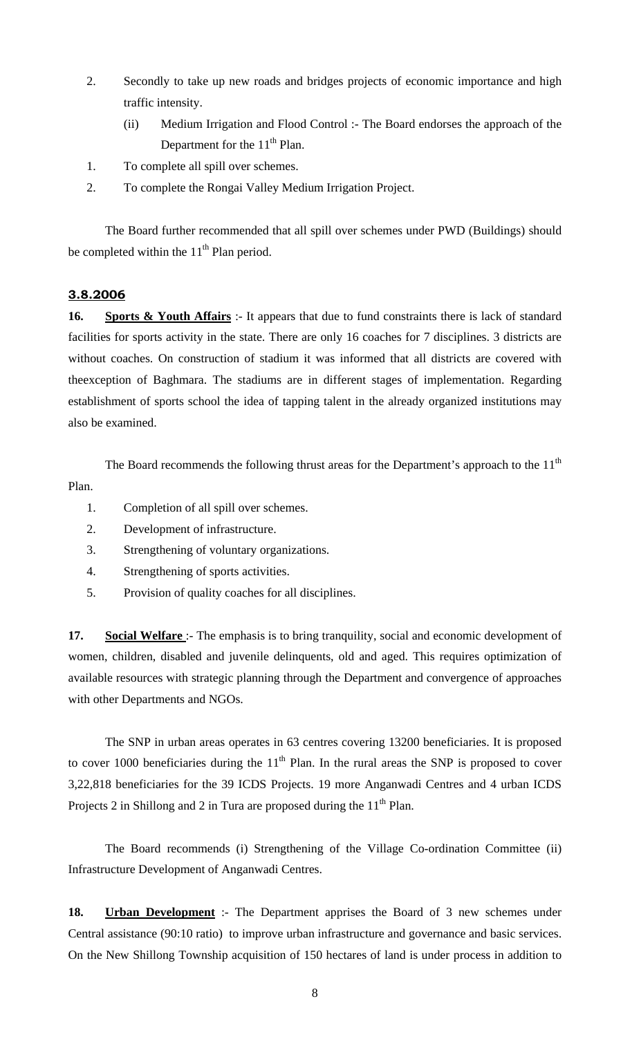- 2. Secondly to take up new roads and bridges projects of economic importance and high traffic intensity.
	- (ii) Medium Irrigation and Flood Control :- The Board endorses the approach of the Department for the  $11<sup>th</sup>$  Plan.
- 1. To complete all spill over schemes.
- 2. To complete the Rongai Valley Medium Irrigation Project.

 The Board further recommended that all spill over schemes under PWD (Buildings) should be completed within the  $11<sup>th</sup>$  Plan period.

## **3.8.2006**

**16. Sports & Youth Affairs** :- It appears that due to fund constraints there is lack of standard facilities for sports activity in the state. There are only 16 coaches for 7 disciplines. 3 districts are without coaches. On construction of stadium it was informed that all districts are covered with theexception of Baghmara. The stadiums are in different stages of implementation. Regarding establishment of sports school the idea of tapping talent in the already organized institutions may also be examined.

The Board recommends the following thrust areas for the Department's approach to the  $11<sup>th</sup>$ Plan.

- 1. Completion of all spill over schemes.
- 2. Development of infrastructure.
- 3. Strengthening of voluntary organizations.
- 4. Strengthening of sports activities.
- 5. Provision of quality coaches for all disciplines.

**17. Social Welfare** :- The emphasis is to bring tranquility, social and economic development of women, children, disabled and juvenile delinquents, old and aged. This requires optimization of available resources with strategic planning through the Department and convergence of approaches with other Departments and NGOs.

 The SNP in urban areas operates in 63 centres covering 13200 beneficiaries. It is proposed to cover 1000 beneficiaries during the  $11<sup>th</sup>$  Plan. In the rural areas the SNP is proposed to cover 3,22,818 beneficiaries for the 39 ICDS Projects. 19 more Anganwadi Centres and 4 urban ICDS Projects 2 in Shillong and 2 in Tura are proposed during the  $11<sup>th</sup>$  Plan.

 The Board recommends (i) Strengthening of the Village Co-ordination Committee (ii) Infrastructure Development of Anganwadi Centres.

**18. Urban Development** :- The Department apprises the Board of 3 new schemes under Central assistance (90:10 ratio) to improve urban infrastructure and governance and basic services. On the New Shillong Township acquisition of 150 hectares of land is under process in addition to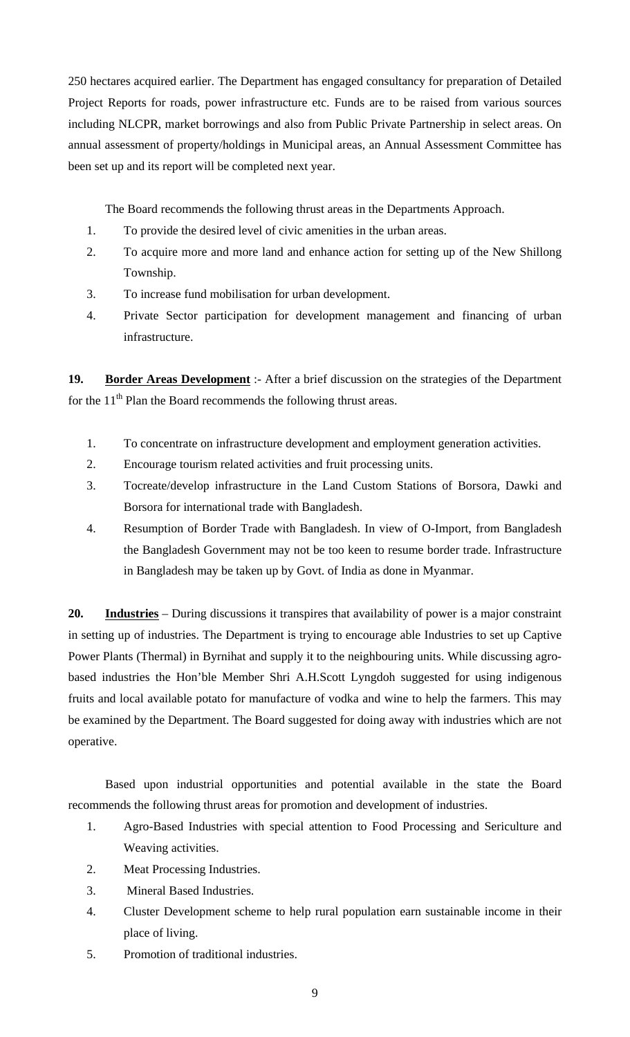250 hectares acquired earlier. The Department has engaged consultancy for preparation of Detailed Project Reports for roads, power infrastructure etc. Funds are to be raised from various sources including NLCPR, market borrowings and also from Public Private Partnership in select areas. On annual assessment of property/holdings in Municipal areas, an Annual Assessment Committee has been set up and its report will be completed next year.

The Board recommends the following thrust areas in the Departments Approach.

- 1. To provide the desired level of civic amenities in the urban areas.
- 2. To acquire more and more land and enhance action for setting up of the New Shillong Township.
- 3. To increase fund mobilisation for urban development.
- 4. Private Sector participation for development management and financing of urban infrastructure.

**19. Border Areas Development** :- After a brief discussion on the strategies of the Department for the  $11<sup>th</sup>$  Plan the Board recommends the following thrust areas.

- 1. To concentrate on infrastructure development and employment generation activities.
- 2. Encourage tourism related activities and fruit processing units.
- 3. Tocreate/develop infrastructure in the Land Custom Stations of Borsora, Dawki and Borsora for international trade with Bangladesh.
- 4. Resumption of Border Trade with Bangladesh. In view of O-Import, from Bangladesh the Bangladesh Government may not be too keen to resume border trade. Infrastructure in Bangladesh may be taken up by Govt. of India as done in Myanmar.

**20. Industries** – During discussions it transpires that availability of power is a major constraint in setting up of industries. The Department is trying to encourage able Industries to set up Captive Power Plants (Thermal) in Byrnihat and supply it to the neighbouring units. While discussing agrobased industries the Hon'ble Member Shri A.H.Scott Lyngdoh suggested for using indigenous fruits and local available potato for manufacture of vodka and wine to help the farmers. This may be examined by the Department. The Board suggested for doing away with industries which are not operative.

 Based upon industrial opportunities and potential available in the state the Board recommends the following thrust areas for promotion and development of industries.

- 1. Agro-Based Industries with special attention to Food Processing and Sericulture and Weaving activities.
- 2. Meat Processing Industries.
- 3. Mineral Based Industries.
- 4. Cluster Development scheme to help rural population earn sustainable income in their place of living.
- 5. Promotion of traditional industries.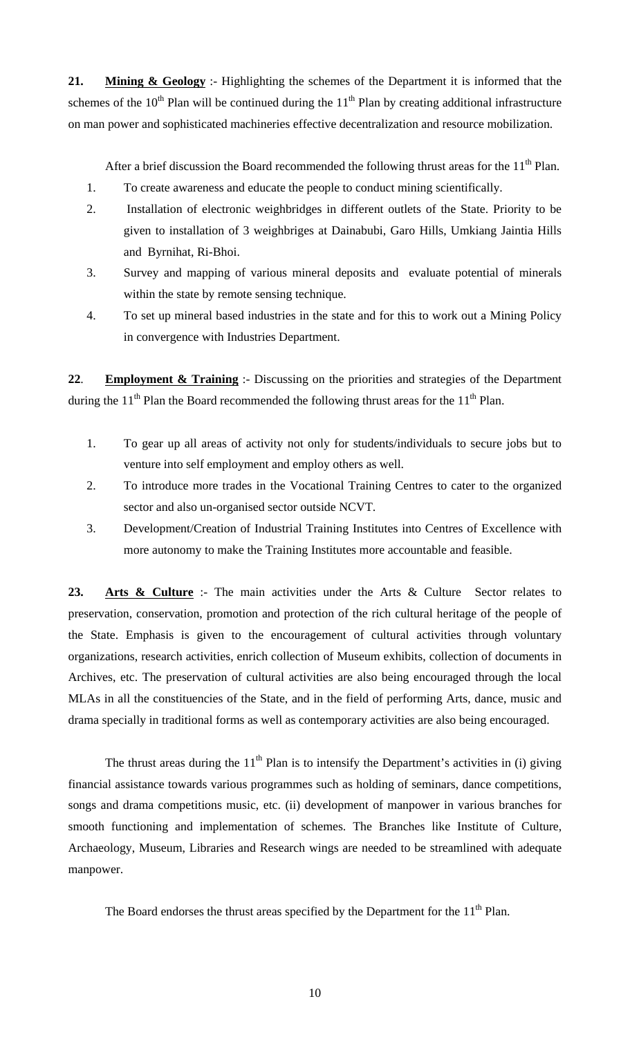**21. Mining & Geology** :- Highlighting the schemes of the Department it is informed that the schemes of the  $10^{th}$  Plan will be continued during the  $11^{th}$  Plan by creating additional infrastructure on man power and sophisticated machineries effective decentralization and resource mobilization.

After a brief discussion the Board recommended the following thrust areas for the  $11<sup>th</sup>$  Plan.

- 1. To create awareness and educate the people to conduct mining scientifically.
- 2. Installation of electronic weighbridges in different outlets of the State. Priority to be given to installation of 3 weighbriges at Dainabubi, Garo Hills, Umkiang Jaintia Hills and Byrnihat, Ri-Bhoi.
- 3. Survey and mapping of various mineral deposits and evaluate potential of minerals within the state by remote sensing technique.
- 4. To set up mineral based industries in the state and for this to work out a Mining Policy in convergence with Industries Department.

**22**. **Employment & Training** :- Discussing on the priorities and strategies of the Department during the  $11<sup>th</sup>$  Plan the Board recommended the following thrust areas for the  $11<sup>th</sup>$  Plan.

- 1. To gear up all areas of activity not only for students/individuals to secure jobs but to venture into self employment and employ others as well.
- 2. To introduce more trades in the Vocational Training Centres to cater to the organized sector and also un-organised sector outside NCVT.
- 3. Development/Creation of Industrial Training Institutes into Centres of Excellence with more autonomy to make the Training Institutes more accountable and feasible.

23. Arts & Culture :- The main activities under the Arts & Culture Sector relates to preservation, conservation, promotion and protection of the rich cultural heritage of the people of the State. Emphasis is given to the encouragement of cultural activities through voluntary organizations, research activities, enrich collection of Museum exhibits, collection of documents in Archives, etc. The preservation of cultural activities are also being encouraged through the local MLAs in all the constituencies of the State, and in the field of performing Arts, dance, music and drama specially in traditional forms as well as contemporary activities are also being encouraged.

The thrust areas during the  $11<sup>th</sup>$  Plan is to intensify the Department's activities in (i) giving financial assistance towards various programmes such as holding of seminars, dance competitions, songs and drama competitions music, etc. (ii) development of manpower in various branches for smooth functioning and implementation of schemes. The Branches like Institute of Culture, Archaeology, Museum, Libraries and Research wings are needed to be streamlined with adequate manpower.

The Board endorses the thrust areas specified by the Department for the  $11<sup>th</sup>$  Plan.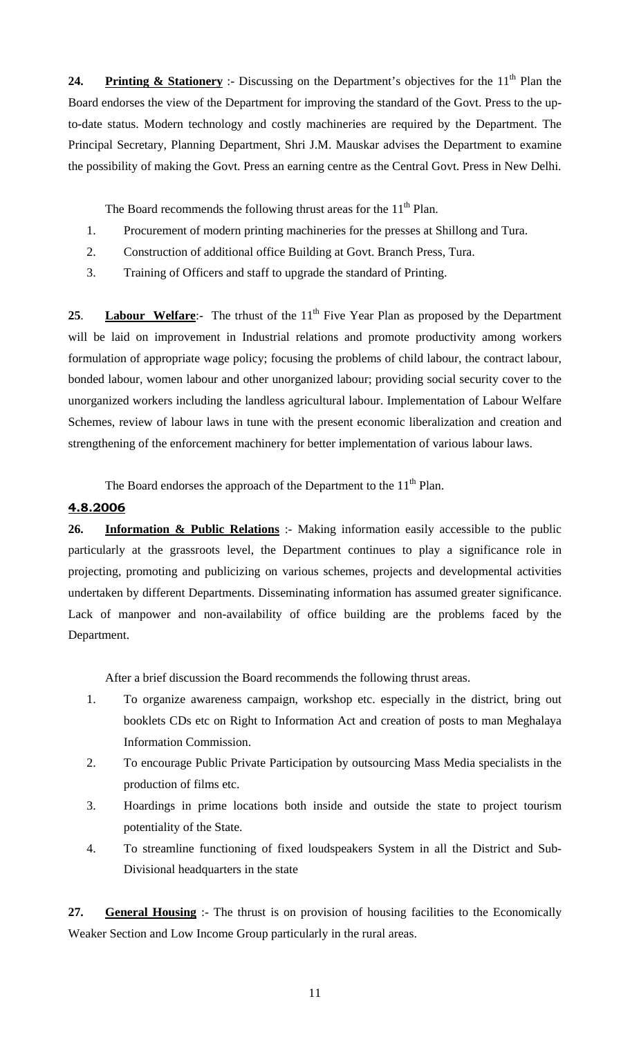**24. Printing & Stationery** :- Discussing on the Department's objectives for the 11<sup>th</sup> Plan the Board endorses the view of the Department for improving the standard of the Govt. Press to the upto-date status. Modern technology and costly machineries are required by the Department. The Principal Secretary, Planning Department, Shri J.M. Mauskar advises the Department to examine the possibility of making the Govt. Press an earning centre as the Central Govt. Press in New Delhi.

The Board recommends the following thrust areas for the  $11<sup>th</sup>$  Plan.

- 1. Procurement of modern printing machineries for the presses at Shillong and Tura.
- 2. Construction of additional office Building at Govt. Branch Press, Tura.
- 3. Training of Officers and staff to upgrade the standard of Printing.

25. **Labour Welfare:**- The trhust of the 11<sup>th</sup> Five Year Plan as proposed by the Department will be laid on improvement in Industrial relations and promote productivity among workers formulation of appropriate wage policy; focusing the problems of child labour, the contract labour, bonded labour, women labour and other unorganized labour; providing social security cover to the unorganized workers including the landless agricultural labour. Implementation of Labour Welfare Schemes, review of labour laws in tune with the present economic liberalization and creation and strengthening of the enforcement machinery for better implementation of various labour laws.

The Board endorses the approach of the Department to the  $11<sup>th</sup>$  Plan.

# **4.8.2006**

**26. Information & Public Relations** :- Making information easily accessible to the public particularly at the grassroots level, the Department continues to play a significance role in projecting, promoting and publicizing on various schemes, projects and developmental activities undertaken by different Departments. Disseminating information has assumed greater significance. Lack of manpower and non-availability of office building are the problems faced by the Department.

After a brief discussion the Board recommends the following thrust areas.

- 1. To organize awareness campaign, workshop etc. especially in the district, bring out booklets CDs etc on Right to Information Act and creation of posts to man Meghalaya Information Commission.
- 2. To encourage Public Private Participation by outsourcing Mass Media specialists in the production of films etc.
- 3. Hoardings in prime locations both inside and outside the state to project tourism potentiality of the State.
- 4. To streamline functioning of fixed loudspeakers System in all the District and Sub-Divisional headquarters in the state

**27. General Housing** :- The thrust is on provision of housing facilities to the Economically Weaker Section and Low Income Group particularly in the rural areas.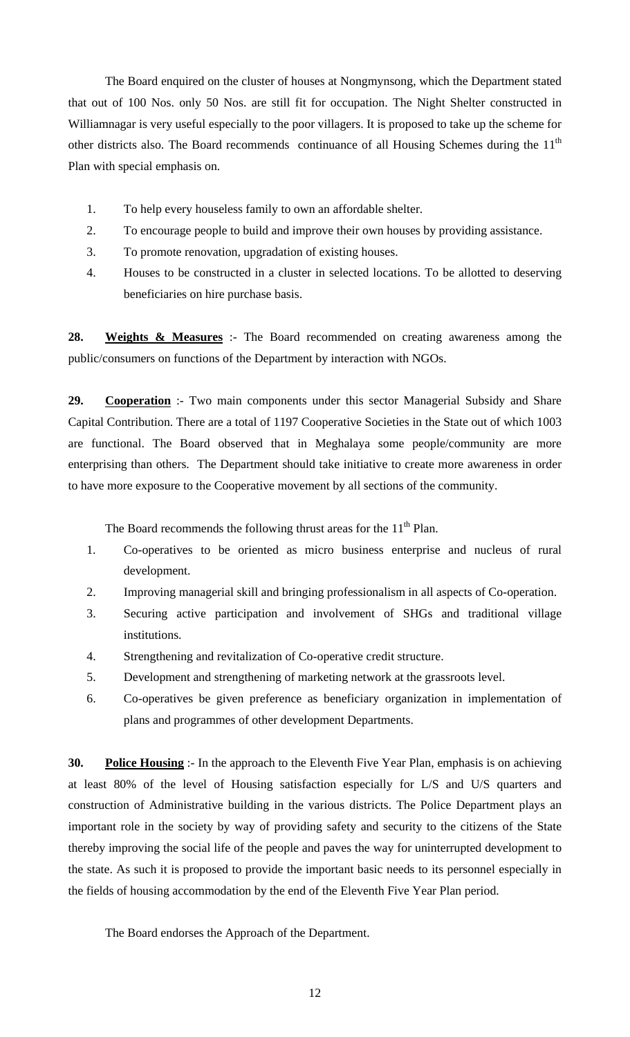The Board enquired on the cluster of houses at Nongmynsong, which the Department stated that out of 100 Nos. only 50 Nos. are still fit for occupation. The Night Shelter constructed in Williamnagar is very useful especially to the poor villagers. It is proposed to take up the scheme for other districts also. The Board recommends continuance of all Housing Schemes during the  $11<sup>th</sup>$ Plan with special emphasis on.

- 1. To help every houseless family to own an affordable shelter.
- 2. To encourage people to build and improve their own houses by providing assistance.
- 3. To promote renovation, upgradation of existing houses.
- 4. Houses to be constructed in a cluster in selected locations. To be allotted to deserving beneficiaries on hire purchase basis.

**28. Weights & Measures** :- The Board recommended on creating awareness among the public/consumers on functions of the Department by interaction with NGOs.

**29. Cooperation** :- Two main components under this sector Managerial Subsidy and Share Capital Contribution. There are a total of 1197 Cooperative Societies in the State out of which 1003 are functional. The Board observed that in Meghalaya some people/community are more enterprising than others. The Department should take initiative to create more awareness in order to have more exposure to the Cooperative movement by all sections of the community.

The Board recommends the following thrust areas for the  $11<sup>th</sup>$  Plan.

- 1. Co-operatives to be oriented as micro business enterprise and nucleus of rural development.
- 2. Improving managerial skill and bringing professionalism in all aspects of Co-operation.
- 3. Securing active participation and involvement of SHGs and traditional village institutions.
- 4. Strengthening and revitalization of Co-operative credit structure.
- 5. Development and strengthening of marketing network at the grassroots level.
- 6. Co-operatives be given preference as beneficiary organization in implementation of plans and programmes of other development Departments.

**30. Police Housing** :- In the approach to the Eleventh Five Year Plan, emphasis is on achieving at least 80% of the level of Housing satisfaction especially for L/S and U/S quarters and construction of Administrative building in the various districts. The Police Department plays an important role in the society by way of providing safety and security to the citizens of the State thereby improving the social life of the people and paves the way for uninterrupted development to the state. As such it is proposed to provide the important basic needs to its personnel especially in the fields of housing accommodation by the end of the Eleventh Five Year Plan period.

The Board endorses the Approach of the Department.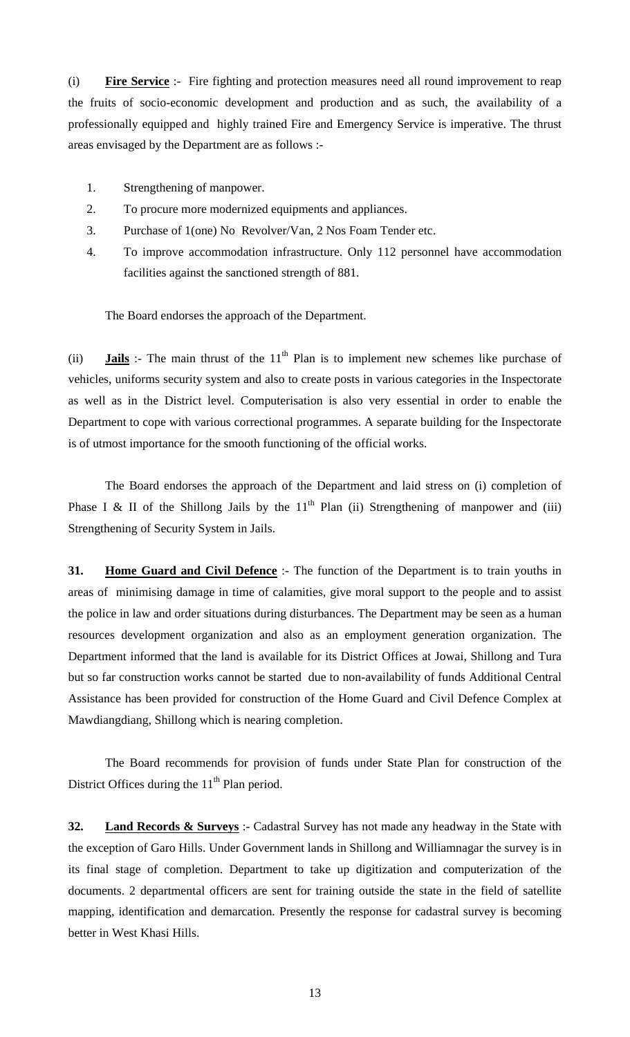(i) **Fire Service** :- Fire fighting and protection measures need all round improvement to reap the fruits of socio-economic development and production and as such, the availability of a professionally equipped and highly trained Fire and Emergency Service is imperative. The thrust areas envisaged by the Department are as follows :-

- 1. Strengthening of manpower.
- 2. To procure more modernized equipments and appliances.
- 3. Purchase of 1(one) No Revolver/Van, 2 Nos Foam Tender etc.
- 4. To improve accommodation infrastructure. Only 112 personnel have accommodation facilities against the sanctioned strength of 881.

The Board endorses the approach of the Department.

(ii) **Jails** :- The main thrust of the  $11<sup>th</sup>$  Plan is to implement new schemes like purchase of vehicles, uniforms security system and also to create posts in various categories in the Inspectorate as well as in the District level. Computerisation is also very essential in order to enable the Department to cope with various correctional programmes. A separate building for the Inspectorate is of utmost importance for the smooth functioning of the official works.

 The Board endorses the approach of the Department and laid stress on (i) completion of Phase I & II of the Shillong Jails by the  $11<sup>th</sup>$  Plan (ii) Strengthening of manpower and (iii) Strengthening of Security System in Jails.

**31. Home Guard and Civil Defence** :- The function of the Department is to train youths in areas of minimising damage in time of calamities, give moral support to the people and to assist the police in law and order situations during disturbances. The Department may be seen as a human resources development organization and also as an employment generation organization. The Department informed that the land is available for its District Offices at Jowai, Shillong and Tura but so far construction works cannot be started due to non-availability of funds Additional Central Assistance has been provided for construction of the Home Guard and Civil Defence Complex at Mawdiangdiang, Shillong which is nearing completion.

 The Board recommends for provision of funds under State Plan for construction of the District Offices during the  $11<sup>th</sup>$  Plan period.

**32. Land Records & Surveys** :- Cadastral Survey has not made any headway in the State with the exception of Garo Hills. Under Government lands in Shillong and Williamnagar the survey is in its final stage of completion. Department to take up digitization and computerization of the documents. 2 departmental officers are sent for training outside the state in the field of satellite mapping, identification and demarcation. Presently the response for cadastral survey is becoming better in West Khasi Hills.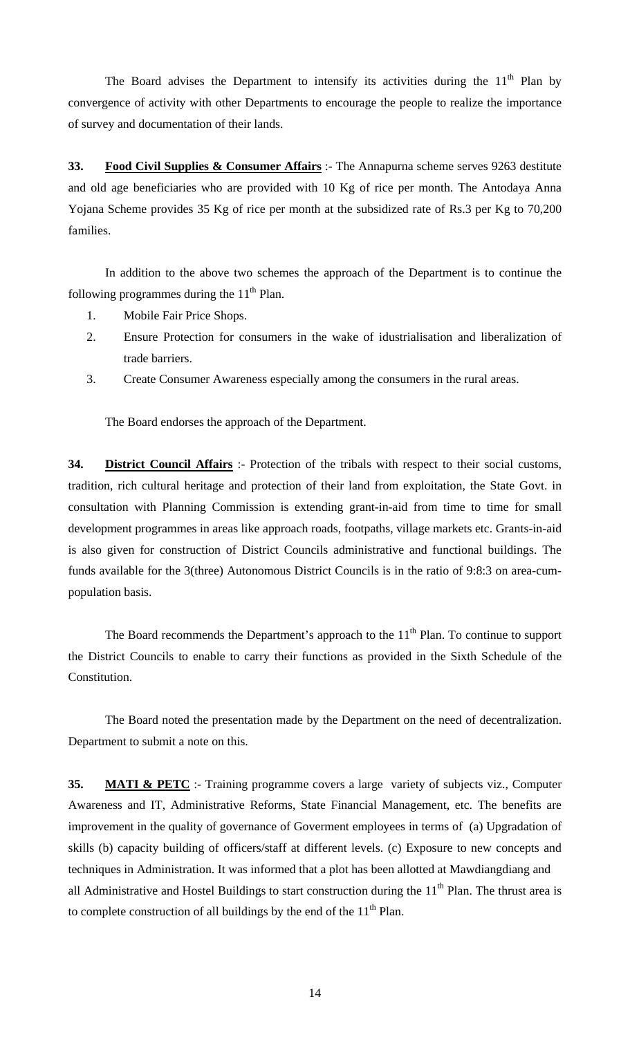The Board advises the Department to intensify its activities during the  $11<sup>th</sup>$  Plan by convergence of activity with other Departments to encourage the people to realize the importance of survey and documentation of their lands.

**33. Food Civil Supplies & Consumer Affairs** :- The Annapurna scheme serves 9263 destitute and old age beneficiaries who are provided with 10 Kg of rice per month. The Antodaya Anna Yojana Scheme provides 35 Kg of rice per month at the subsidized rate of Rs.3 per Kg to 70,200 families.

 In addition to the above two schemes the approach of the Department is to continue the following programmes during the  $11<sup>th</sup>$  Plan.

- 1. Mobile Fair Price Shops.
- 2. Ensure Protection for consumers in the wake of idustrialisation and liberalization of trade barriers.
- 3. Create Consumer Awareness especially among the consumers in the rural areas.

The Board endorses the approach of the Department.

**34. District Council Affairs** :- Protection of the tribals with respect to their social customs, tradition, rich cultural heritage and protection of their land from exploitation, the State Govt. in consultation with Planning Commission is extending grant-in-aid from time to time for small development programmes in areas like approach roads, footpaths, village markets etc. Grants-in-aid is also given for construction of District Councils administrative and functional buildings. The funds available for the 3(three) Autonomous District Councils is in the ratio of 9:8:3 on area-cumpopulation basis.

The Board recommends the Department's approach to the  $11<sup>th</sup>$  Plan. To continue to support the District Councils to enable to carry their functions as provided in the Sixth Schedule of the Constitution.

 The Board noted the presentation made by the Department on the need of decentralization. Department to submit a note on this.

**35. MATI & PETC** :- Training programme covers a large variety of subjects viz., Computer Awareness and IT, Administrative Reforms, State Financial Management, etc. The benefits are improvement in the quality of governance of Goverment employees in terms of (a) Upgradation of skills (b) capacity building of officers/staff at different levels. (c) Exposure to new concepts and techniques in Administration. It was informed that a plot has been allotted at Mawdiangdiang and all Administrative and Hostel Buildings to start construction during the  $11<sup>th</sup>$  Plan. The thrust area is to complete construction of all buildings by the end of the  $11<sup>th</sup>$  Plan.